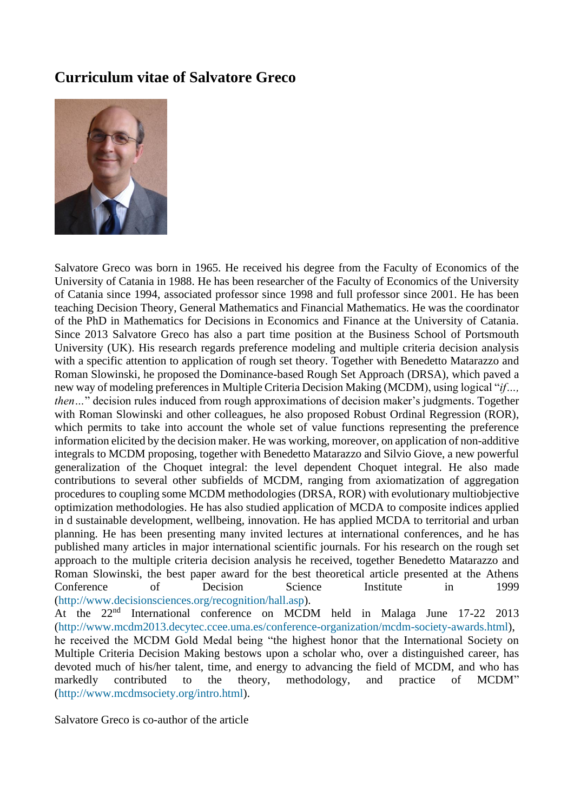## **Curriculum vitae of Salvatore Greco**



Salvatore Greco was born in 1965. He received his degree from the Faculty of Economics of the University of Catania in 1988. He has been researcher of the Faculty of Economics of the University of Catania since 1994, associated professor since 1998 and full professor since 2001. He has been teaching Decision Theory, General Mathematics and Financial Mathematics. He was the coordinator of the PhD in Mathematics for Decisions in Economics and Finance at the University of Catania. Since 2013 Salvatore Greco has also a part time position at the Business School of Portsmouth University (UK). His research regards preference modeling and multiple criteria decision analysis with a specific attention to application of rough set theory. Together with Benedetto Matarazzo and Roman Slowinski, he proposed the Dominance-based Rough Set Approach (DRSA), which paved a new way of modeling preferences in Multiple Criteria Decision Making (MCDM), using logical "*if…, then...*" decision rules induced from rough approximations of decision maker's judgments. Together with Roman Slowinski and other colleagues, he also proposed Robust Ordinal Regression (ROR), which permits to take into account the whole set of value functions representing the preference information elicited by the decision maker. He was working, moreover, on application of non-additive integrals to MCDM proposing, together with Benedetto Matarazzo and Silvio Giove, a new powerful generalization of the Choquet integral: the level dependent Choquet integral. He also made contributions to several other subfields of MCDM, ranging from axiomatization of aggregation procedures to coupling some MCDM methodologies (DRSA, ROR) with evolutionary multiobjective optimization methodologies. He has also studied application of MCDA to composite indices applied in d sustainable development, wellbeing, innovation. He has applied MCDA to territorial and urban planning. He has been presenting many invited lectures at international conferences, and he has published many articles in major international scientific journals. For his research on the rough set approach to the multiple criteria decision analysis he received, together Benedetto Matarazzo and Roman Slowinski, the best paper award for the best theoretical article presented at the Athens Conference of Decision Science Institute in 1999 [\(http://www.decisionsciences.org/recognition/hall.asp\)](http://www.decisionsciences.org/recognition/hall.asp). At the 22<sup>nd</sup> International conference on MCDM held in Malaga June 17-22 2013 [\(http://www.mcdm2013.decytec.ccee.uma.es/conference-organization/mcdm-society-awards.html\)](http://www.mcdm2013.decytec.ccee.uma.es/conference-organization/mcdm-society-awards.html), he received the MCDM Gold Medal being "the highest honor that the International Society on Multiple Criteria Decision Making bestows upon a scholar who, over a distinguished career, has

devoted much of his/her talent, time, and energy to advancing the field of MCDM, and who has markedly contributed to the theory, methodology, and practice of MCDM" [\(http://www.mcdmsociety.org/intro.html\)](http://www.mcdmsociety.org/intro.html).

Salvatore Greco is co-author of the article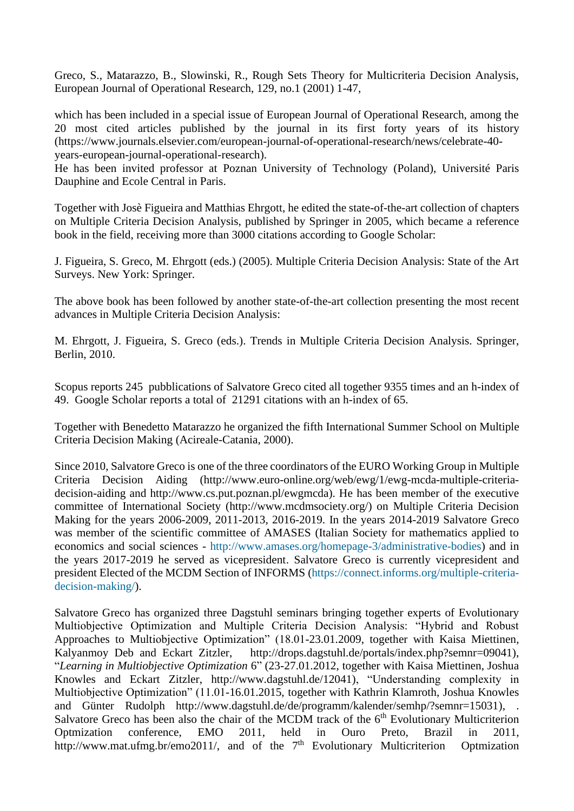Greco, S., Matarazzo, B., Slowinski, R., Rough Sets Theory for Multicriteria Decision Analysis, European Journal of Operational Research, 129, no.1 (2001) 1-47,

which has been included in a special issue of European Journal of Operational Research, among the 20 most cited articles published by the journal in its first forty years of its history (https://www.journals.elsevier.com/european-journal-of-operational-research/news/celebrate-40 years-european-journal-operational-research).

He has been invited professor at Poznan University of Technology (Poland), Université Paris Dauphine and Ecole Central in Paris.

Together with Josè Figueira and Matthias Ehrgott, he edited the state-of-the-art collection of chapters on Multiple Criteria Decision Analysis, published by Springer in 2005, which became a reference book in the field, receiving more than 3000 citations according to Google Scholar:

J. Figueira, S. Greco, M. Ehrgott (eds.) (2005). Multiple Criteria Decision Analysis: State of the Art Surveys. New York: Springer.

The above book has been followed by another state-of-the-art collection presenting the most recent advances in Multiple Criteria Decision Analysis:

M. Ehrgott, J. Figueira, S. Greco (eds.). Trends in Multiple Criteria Decision Analysis. Springer, Berlin, 2010.

Scopus reports 245 pubblications of Salvatore Greco cited all together 9355 times and an h-index of 49. Google Scholar reports a total of 21291 citations with an h-index of 65.

Together with Benedetto Matarazzo he organized the fifth International Summer School on Multiple Criteria Decision Making (Acireale-Catania, 2000).

Since 2010, Salvatore Greco is one of the three coordinators of the EURO Working Group in Multiple Criteria Decision Aiding (http://www.euro-online.org/web/ewg/1/ewg-mcda-multiple-criteriadecision-aiding and http://www.cs.put.poznan.pl/ewgmcda). He has been member of the executive committee of International Society (http://www.mcdmsociety.org/) on Multiple Criteria Decision Making for the years 2006-2009, 2011-2013, 2016-2019. In the years 2014-2019 Salvatore Greco was member of the scientific committee of AMASES (Italian Society for mathematics applied to economics and social sciences - [http://www.amases.org/homepage-3/administrative-bodies\)](http://www.amases.org/homepage-3/administrative-bodies) and in the years 2017-2019 he served as vicepresident. Salvatore Greco is currently vicepresident and president Elected of the MCDM Section of INFORMS [\(https://connect.informs.org/multiple-criteria](https://connect.informs.org/multiple-criteria-decision-making/)[decision-making/\)](https://connect.informs.org/multiple-criteria-decision-making/).

Salvatore Greco has organized three Dagstuhl seminars bringing together experts of Evolutionary Multiobjective Optimization and Multiple Criteria Decision Analysis: "Hybrid and Robust Approaches to Multiobjective Optimization" (18.01-23.01.2009, together with Kaisa Miettinen, Kalyanmoy Deb and Eckart Zitzler, http://drops.dagstuhl.de/portals/index.php?semnr=09041), "*Learning in Multiobjective Optimization* 6" (23-27.01.2012, together with Kaisa Miettinen, Joshua Knowles and Eckart Zitzler, [http://www.dagstuhl.de/12041\)](http://www.dagstuhl.de/12041), "Understanding complexity in Multiobjective Optimization" (11.01-16.01.2015, together with Kathrin Klamroth, Joshua Knowles and Günter Rudolph http://www.dagstuhl.de/de/programm/kalender/semhp/?semnr=15031), . Salvatore Greco has been also the chair of the MCDM track of the  $6<sup>th</sup>$  Evolutionary Multicriterion Optmization conference, EMO 2011, held in Ouro Preto, Brazil in 2011, [http://www.mat.ufmg.br/emo2011/,](http://www.mat.ufmg.br/emo2011/) and of the 7<sup>th</sup> Evolutionary Multicriterion Optmization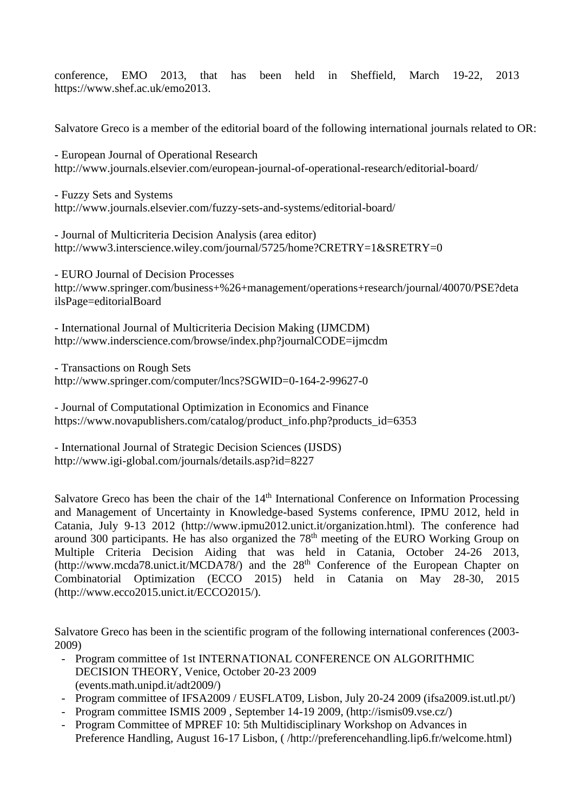conference, EMO 2013, that has been held in Sheffield, March 19-22, 2013 https://www.shef.ac.uk/emo2013.

Salvatore Greco is a member of the editorial board of the following international journals related to OR:

- European Journal of Operational Research http://www.journals.elsevier.com/european-journal-of-operational-research/editorial-board/

- Fuzzy Sets and Systems <http://www.journals.elsevier.com/fuzzy-sets-and-systems/editorial-board/>

- Journal of Multicriteria Decision Analysis (area editor) <http://www3.interscience.wiley.com/journal/5725/home?CRETRY=1&SRETRY=0>

- EURO Journal of Decision Processes http://www.springer.com/business+%26+management/operations+research/journal/40070/PSE?deta ilsPage=editorialBoard

- International Journal of Multicriteria Decision Making (IJMCDM) <http://www.inderscience.com/browse/index.php?journalCODE=ijmcdm>

- Transactions on Rough Sets <http://www.springer.com/computer/lncs?SGWID=0-164-2-99627-0>

- Journal of Computational Optimization in Economics and Finance [https://www.novapublishers.com/catalog/product\\_info.php?products\\_id=6353](https://www.novapublishers.com/catalog/product_info.php?products_id=6353)

- International Journal of Strategic Decision Sciences (IJSDS) http://www.igi-global.com/journals/details.asp?id=8227

Salvatore Greco has been the chair of the  $14<sup>th</sup>$  International Conference on Information Processing and Management of Uncertainty in Knowledge-based Systems conference, IPMU 2012, held in Catania, July 9-13 2012 (http://www.ipmu2012.unict.it/organization.html). The conference had around 300 participants. He has also organized the 78<sup>th</sup> meeting of the EURO Working Group on Multiple Criteria Decision Aiding that was held in Catania, October 24-26 2013,  $(http://www.mcda78.unict.it/MCDA78/)$  and the  $28<sup>th</sup>$  Conference of the European Chapter on Combinatorial Optimization (ECCO 2015) held in Catania on May 28-30, 2015 (http://www.ecco2015.unict.it/ECCO2015/).

Salvatore Greco has been in the scientific program of the following international conferences (2003- 2009)

- Program committee of 1st INTERNATIONAL CONFERENCE ON ALGORITHMIC DECISION THEORY, Venice, October 20-23 2009 (events.math.unipd.it/adt2009/)
- Program committee of IFSA2009 / EUSFLAT09, Lisbon, July 20-24 2009 (ifsa2009.ist.utl.pt/)
- Program committee ISMIS 2009 , September 14-19 2009, (http://ismis09.vse.cz/)
- Program Committee of MPREF 10: 5th Multidisciplinary Workshop on Advances in Preference Handling, August 16-17 Lisbon, ( /http://preferencehandling.lip6.fr/welcome.html)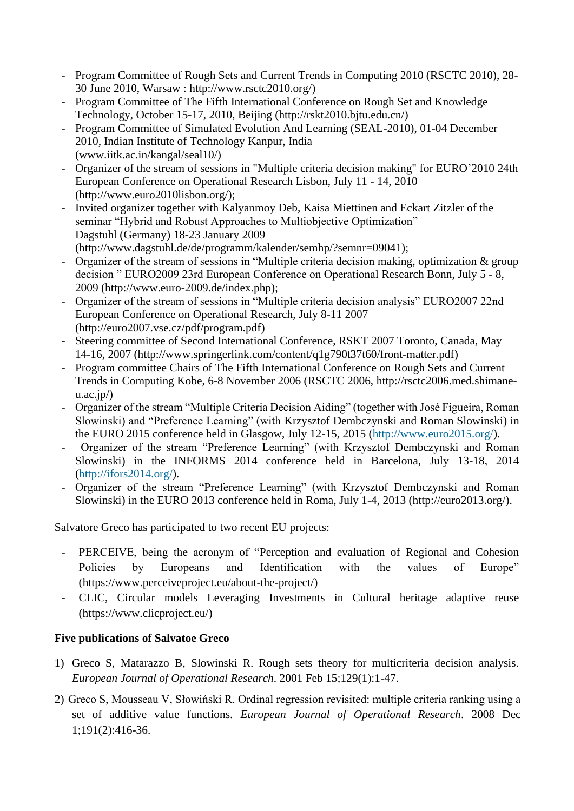- Program Committee of Rough Sets and Current Trends in Computing 2010 (RSCTC 2010), 28- 30 June 2010, Warsaw : http://www.rsctc2010.org/)
- Program Committee of The Fifth International Conference on Rough Set and Knowledge Technology, October 15-17, 2010, Beijing (http://rskt2010.bjtu.edu.cn/)
- Program Committee of Simulated Evolution And Learning (SEAL-2010), 01-04 December 2010, Indian Institute of Technology Kanpur, India (www.iitk.ac.in/kangal/seal10/)
- Organizer of the stream of sessions in "Multiple criteria decision making" for EURO'2010 24th European Conference on Operational Research Lisbon, July 11 - 14, 2010 (http://www.euro2010lisbon.org/);
- Invited organizer together with Kalyanmoy Deb, Kaisa Miettinen and Eckart Zitzler of the seminar "Hybrid and Robust Approaches to Multiobjective Optimization" Dagstuhl (Germany) 18-23 January 2009 (http://www.dagstuhl.de/de/programm/kalender/semhp/?semnr=09041);
- Organizer of the stream of sessions in "Multiple criteria decision making, optimization & group decision " EURO2009 23rd European Conference on Operational Research Bonn, July 5 - 8, 2009 (http://www.euro-2009.de/index.php);
- Organizer of the stream of sessions in "Multiple criteria decision analysis" EURO2007 22nd European Conference on Operational Research, July 8-11 2007 (http://euro2007.vse.cz/pdf/program.pdf)
- Steering committee of Second International Conference, RSKT 2007 Toronto, Canada, May 14-16, 2007 (http://www.springerlink.com/content/q1g790t37t60/front-matter.pdf)
- Program committee Chairs of The Fifth International Conference on Rough Sets and Current Trends in Computing Kobe, 6-8 November 2006 (RSCTC 2006, http://rsctc2006.med.shimane $u.ac.jp/$
- Organizer of the stream "Multiple Criteria Decision Aiding" (together with José Figueira, Roman Slowinski) and "Preference Learning" (with [Krzysztof Dembczynski](javascript:popup_imp() and Roman Slowinski) in the EURO 2015 conference held in Glasgow, July 12-15, 2015 [\(http://www.euro2015.org/\)](http://www.euro2015.org/).
- Organizer of the stream "Preference Learning" (with [Krzysztof Dembczynski a](javascript:popup_imp()nd Roman Slowinski) in the INFORMS 2014 conference held in Barcelona, July 13-18, 2014 [\(http://ifors2014.org/\)](http://ifors2014.org/).
- Organizer of the stream "Preference Learning" (with [Krzysztof Dembczynski a](javascript:popup_imp()nd Roman Slowinski) in the EURO 2013 conference held in Roma, July 1-4, 2013 (http://euro2013.org/).

Salvatore Greco has participated to two recent EU projects:

- PERCEIVE, being the acronym of "Perception and evaluation of Regional and Cohesion Policies by Europeans and Identification with the values of Europe" (https://www.perceiveproject.eu/about-the-project/)
- CLIC, Circular models Leveraging Investments in Cultural heritage adaptive reuse (https://www.clicproject.eu/)

## **Five publications of Salvatoe Greco**

- 1) Greco S, Matarazzo B, Slowinski R. Rough sets theory for multicriteria decision analysis. *European Journal of Operational Research*. 2001 Feb 15;129(1):1-47.
- 2) Greco S, Mousseau V, Słowiński R. Ordinal regression revisited: multiple criteria ranking using a set of additive value functions. *European Journal of Operational Research*. 2008 Dec 1;191(2):416-36.